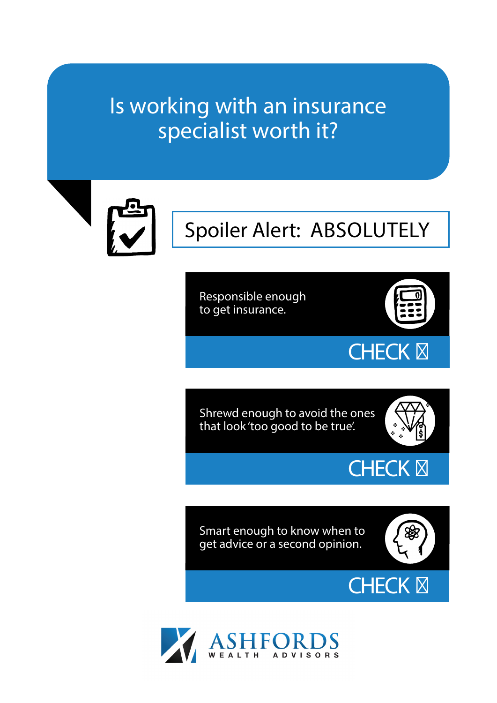## Is working with an insurance specialist worth it?



# Spoiler Alert: ABSOLUTELY

Responsible enough to get insurance.



**CHECK** 

Shrewd enough to avoid the ones that look 'too good to be true'.



**CHECK** 

Smart enough to know when to get advice or a second opinion.



**CHECK** 

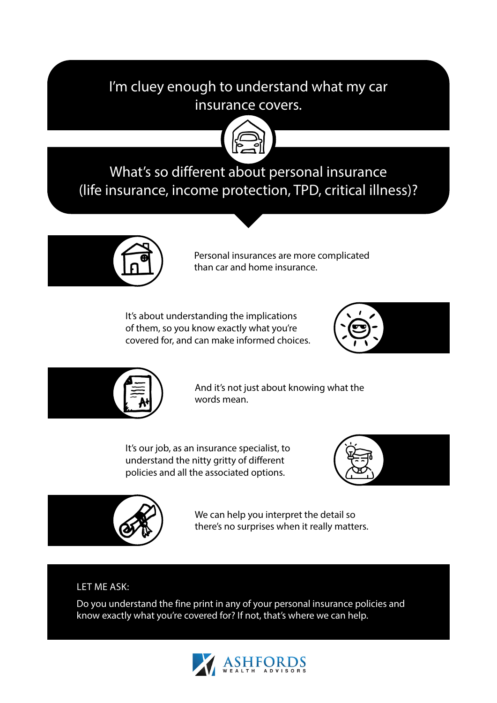### I'm cluey enough to understand what my car insurance covers.



## What's so different about personal insurance (life insurance, income protection, TPD, critical illness)?



Personal insurances are more complicated than car and home insurance.

It's about understanding the implications of them, so you know exactly what you're covered for, and can make informed choices.





And it's not just about knowing what the words mean.

It's our job, as an insurance specialist, to understand the nitty gritty of different policies and all the associated options.





We can help you interpret the detail so there's no surprises when it really matters.

#### LET ME ASK:

Do you understand the fine print in any of your personal insurance policies and know exactly what you're covered for? If not, that's where we can help.

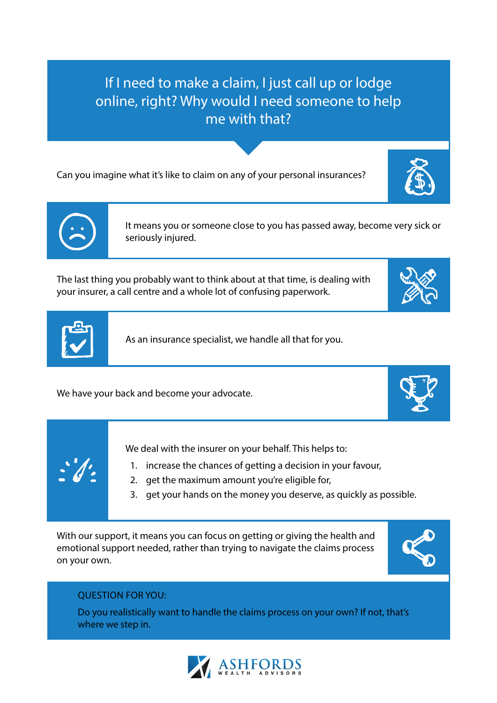If I need to make a claim, I just call up or lodge online, right? Why would I need someone to help me with that?

Can you imagine what it's like to claim on any of your personal insurances?



The last thing you probably want to think about at that time, is dealing with your insurer, a call centre and a whole lot of confusing paperwork.



We have your back and become your advocate.

We deal with the insurer on your behalf. This helps to:

- 1. increase the chances of getting a decision in your favour,
- 2. get the maximum amount you're eligible for,
- 3. get your hands on the money you deserve, as quickly as possible.

With our support, it means you can focus on getting or giving the health and emotional support needed, rather than trying to navigate the claims process on your own.

#### QUESTION FOR YOU:

Do you realistically want to handle the claims process on your own? If not, that's where we step in.













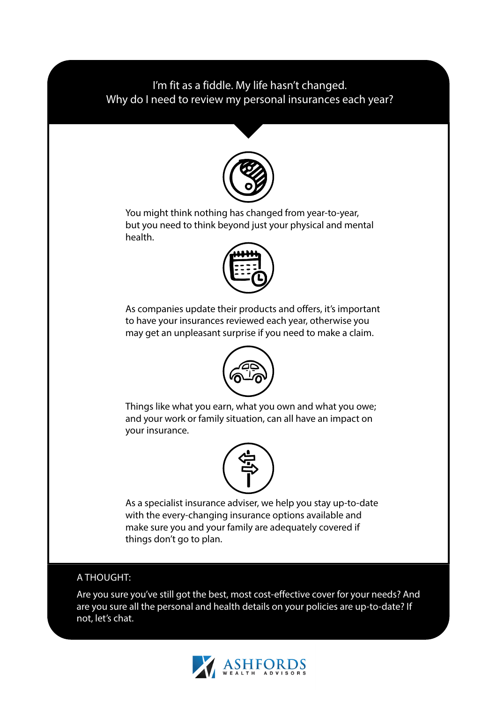#### I'm fit as a fiddle. My life hasn't changed. Why do I need to review my personal insurances each year?



You might think nothing has changed from year-to-year, but you need to think beyond just your physical and mental health.



As companies update their products and offers, it's important to have your insurances reviewed each year, otherwise you may get an unpleasant surprise if you need to make a claim.



Things like what you earn, what you own and what you owe; and your work or family situation, can all have an impact on your insurance.



As a specialist insurance adviser, we help you stay up-to-date with the every-changing insurance options available and make sure you and your family are adequately covered if things don't go to plan.

#### A THOUGHT:

Are you sure you've still got the best, most cost-effective cover for your needs? And are you sure all the personal and health details on your policies are up-to-date? If not, let's chat.

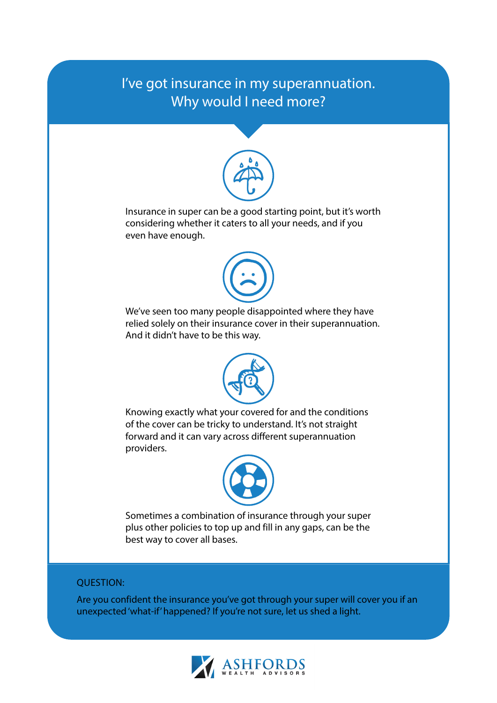### I've got insurance in my superannuation. Why would I need more?



Insurance in super can be a good starting point, but it's worth considering whether it caters to all your needs, and if you even have enough.



We've seen too many people disappointed where they have relied solely on their insurance cover in their superannuation. And it didn't have to be this way.



Knowing exactly what your covered for and the conditions of the cover can be tricky to understand. It's not straight forward and it can vary across different superannuation providers.



Sometimes a combination of insurance through your super plus other policies to top up and fill in any gaps, can be the best way to cover all bases.

#### QUESTION:

Are you confident the insurance you've got through your super will cover you if an unexpected 'what-if' happened? If you're not sure, let us shed a light.

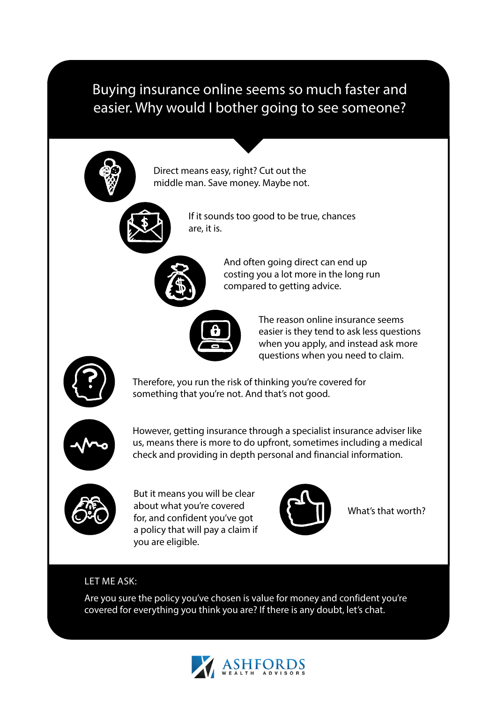### Buying insurance online seems so much faster and easier. Why would I bother going to see someone?



Direct means easy, right? Cut out the middle man. Save money. Maybe not.



If it sounds too good to be true, chances are, it is.



And often going direct can end up costing you a lot more in the long run compared to getting advice.



The reason online insurance seems easier is they tend to ask less questions when you apply, and instead ask more questions when you need to claim.



Therefore, you run the risk of thinking you're covered for something that you're not. And that's not good.



However, getting insurance through a specialist insurance adviser like us, means there is more to do upfront, sometimes including a medical check and providing in depth personal and financial information.



But it means you will be clear about what you're covered for, and confident you've got a policy that will pay a claim if you are eligible.



What's that worth?

#### LET ME ASK:

Are you sure the policy you've chosen is value for money and confident you're covered for everything you think you are? If there is any doubt, let's chat.

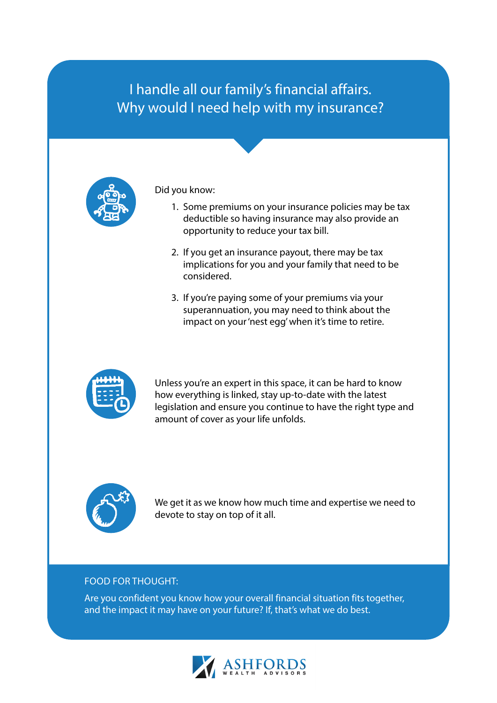### I handle all our family's financial affairs. Why would I need help with my insurance?



Did you know:

- 1. Some premiums on your insurance policies may be tax deductible so having insurance may also provide an opportunity to reduce your tax bill.
- 2. If you get an insurance payout, there may be tax implications for you and your family that need to be considered.
- 3. If you're paying some of your premiums via your superannuation, you may need to think about the impact on your 'nest egg' when it's time to retire.



Unless you're an expert in this space, it can be hard to know how everything is linked, stay up-to-date with the latest legislation and ensure you continue to have the right type and amount of cover as your life unfolds.



We get it as we know how much time and expertise we need to devote to stay on top of it all.

#### FOOD FOR THOUGHT:

Are you confident you know how your overall financial situation fits together, and the impact it may have on your future? If, that's what we do best.